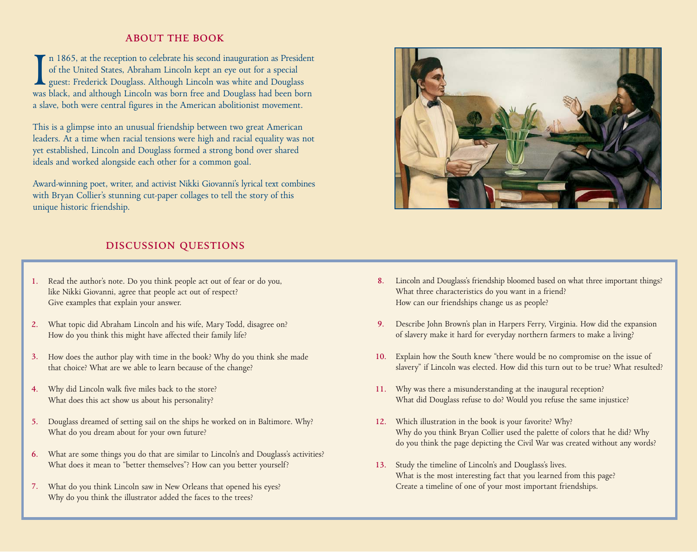# **ABOUT THE BOOK**

I<sub>was</sub> n 1865, at the reception to celebrate his second inauguration as President of the United States, Abraham Lincoln kept an eye out for a special guest: Frederick Douglass. Although Lincoln was white and Douglass was black, and although Lincoln was born free and Douglass had been born a slave, both were central figures in the American abolitionist movement.

This is a glimpse into an unusual friendship between two great American leaders. At a time when racial tensions were high and racial equality was not yet established, Lincoln and Douglass formed a strong bond over shared ideals and worked alongside each other for a common goal.

Award-winning poet, writer, and activist Nikki Giovanni's lyrical text combines with Bryan Collier's stunning cut-paper collages to tell the story of this unique historic friendship.

# **DISCUSSION QUESTIONS**

- 1. Read the author's note. Do you think people act out of fear or do you, like Nikki Giovanni, agree that people act out of respect? Give examples that explain your answer.
- What topic did Abraham Lincoln and his wife, Mary Todd, disagree on? **2.** How do you think this might have affected their family life?
- How does the author play with time in the book? Why do you think she made **3.** that choice? What are we able to learn because of the change?
- Why did Lincoln walk five miles back to the store? **4.** What does this act show us about his personality?
- Douglass dreamed of setting sail on the ships he worked on in Baltimore. Why? **5.** What do you dream about for your own future?
- What are some things you do that are similar to Lincoln's and Douglass's activities? What does it mean to "better themselves"? How can you better yourself? **6.**
- What do you think Lincoln saw in New Orleans that opened his eyes? **7.** Why do you think the illustrator added the faces to the trees?



- Lincoln and Douglass's friendship bloomed based on what three important things? **8.** What three characteristics do you want in a friend? How can our friendships change us as people?
- Describe John Brown's plan in Harpers Ferry, Virginia. How did the expansion **9.** of slavery make it hard for everyday northern farmers to make a living?
- Explain how the South knew "there would be no compromise on the issue of **10.** slavery" if Lincoln was elected. How did this turn out to be true? What resulted?
- Why was there a misunderstanding at the inaugural reception? **11.** What did Douglass refuse to do? Would you refuse the same injustice?
- Which illustration in the book is your favorite? Why? **12.** Why do you think Bryan Collier used the palette of colors that he did? Why do you think the page depicting the Civil War was created without any words?
- 13. Study the timeline of Lincoln's and Douglass's lives. What is the most interesting fact that you learned from this page? Create a timeline of one of your most important friendships.